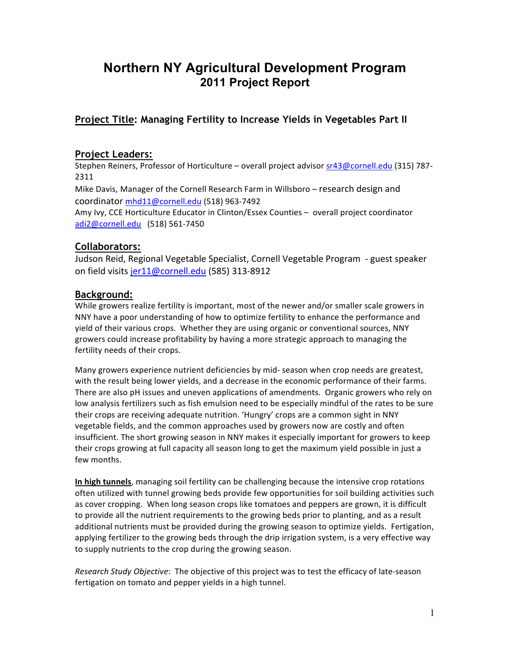# **Northern NY Agricultural Development Program 2011 Project Report**

# **Project Title: Managing Fertility to Increase Yields in Vegetables Part II**

#### **Project Leaders:**

Stephen Reiners, Professor of Horticulture – overall project advisor sr43@cornell.edu (315) 787-2311 Mike Davis, Manager of the Cornell Research Farm in Willsboro – research design and coordinator mhd11@cornell.edu (518) 963-7492 Amy Ivy, CCE Horticulture Educator in Clinton/Essex Counties – overall project coordinator adi2@cornell.edu (518) 561-7450

#### **Collaborators:**

Judson Reid, Regional Vegetable Specialist, Cornell Vegetable Program - guest speaker on field visits jer11@cornell.edu (585) 313-8912

#### **Background:**

While growers realize fertility is important, most of the newer and/or smaller scale growers in NNY have a poor understanding of how to optimize fertility to enhance the performance and yield of their various crops. Whether they are using organic or conventional sources, NNY growers could increase profitability by having a more strategic approach to managing the fertility needs of their crops.

Many growers experience nutrient deficiencies by mid- season when crop needs are greatest, with the result being lower yields, and a decrease in the economic performance of their farms. There are also pH issues and uneven applications of amendments. Organic growers who rely on low analysis fertilizers such as fish emulsion need to be especially mindful of the rates to be sure their crops are receiving adequate nutrition. 'Hungry' crops are a common sight in NNY vegetable fields, and the common approaches used by growers now are costly and often insufficient. The short growing season in NNY makes it especially important for growers to keep their crops growing at full capacity all season long to get the maximum yield possible in just a few months.

**In high tunnels**, managing soil fertility can be challenging because the intensive crop rotations often utilized with tunnel growing beds provide few opportunities for soil building activities such as cover cropping. When long season crops like tomatoes and peppers are grown, it is difficult to provide all the nutrient requirements to the growing beds prior to planting, and as a result additional nutrients must be provided during the growing season to optimize yields. Fertigation, applying fertilizer to the growing beds through the drip irrigation system, is a very effective way to supply nutrients to the crop during the growing season.

*Research Study Objective*: The objective of this project was to test the efficacy of late-season fertigation on tomato and pepper yields in a high tunnel.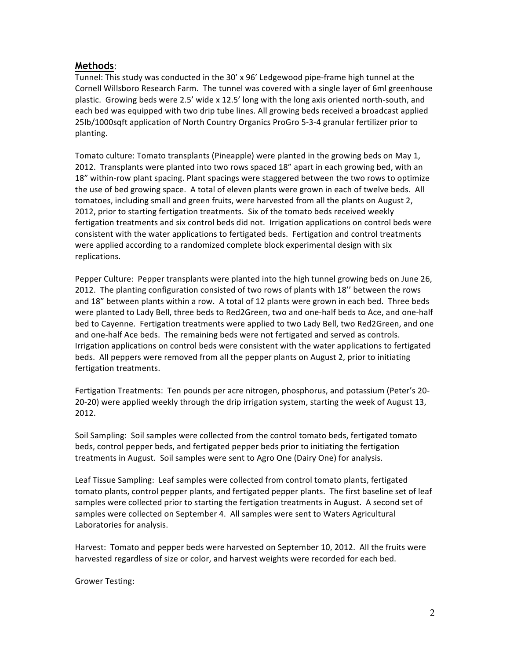#### **Methods**:

Tunnel: This study was conducted in the 30' x 96' Ledgewood pipe-frame high tunnel at the Cornell Willsboro Research Farm. The tunnel was covered with a single layer of 6ml greenhouse plastic.' Growing beds were 2.5' wide x 12.5' long with the long axis oriented north-south, and each bed was equipped with two drip tube lines. All growing beds received a broadcast applied 25lb/1000sqft application of North Country Organics ProGro 5-3-4 granular fertilizer prior to planting.

Tomato culture: Tomato transplants (Pineapple) were planted in the growing beds on May 1, 2012. Transplants were planted into two rows spaced 18" apart in each growing bed, with an 18" within-row plant spacing. Plant spacings were staggered between the two rows to optimize the use of bed growing space.' A total of eleven plants were grown in each of twelve beds.' All tomatoes, including small and green fruits, were harvested from all the plants on August 2, 2012, prior to starting fertigation treatments. Six of the tomato beds received weekly fertigation treatments and six control beds did not. Irrigation applications on control beds were consistent with the water applications to fertigated beds. Fertigation and control treatments were applied according to a randomized complete block experimental design with six replications.

Pepper Culture: Pepper transplants were planted into the high tunnel growing beds on June 26, 2012. The planting configuration consisted of two rows of plants with 18" between the rows and 18" between plants within a row. A total of 12 plants were grown in each bed. Three beds were planted to Lady Bell, three beds to Red2Green, two and one-half beds to Ace, and one-half bed to Cayenne.''Fertigation treatments were applied to two Lady Bell, two Red2Green, and one and one-half Ace beds. The remaining beds were not fertigated and served as controls. Irrigation applications on control beds were consistent with the water applications to fertigated beds. All peppers were removed from all the pepper plants on August 2, prior to initiating fertigation treatments.

Fertigation Treatments: Ten pounds per acre nitrogen, phosphorus, and potassium (Peter's 20-20-20) were applied weekly through the drip irrigation system, starting the week of August 13, 2012.''

Soil Sampling: Soil samples were collected from the control tomato beds, fertigated tomato beds, control pepper beds, and fertigated pepper beds prior to initiating the fertigation treatments in August. Soil samples were sent to Agro One (Dairy One) for analysis.

Leaf Tissue Sampling: Leaf samples were collected from control tomato plants, fertigated tomato plants, control pepper plants, and fertigated pepper plants. The first baseline set of leaf samples were collected prior to starting the fertigation treatments in August.' A second set of samples were collected on September 4. All samples were sent to Waters Agricultural Laboratories for analysis.

Harvest: Tomato and pepper beds were harvested on September 10, 2012. All the fruits were harvested regardless of size or color, and harvest weights were recorded for each bed.

Grower Testing: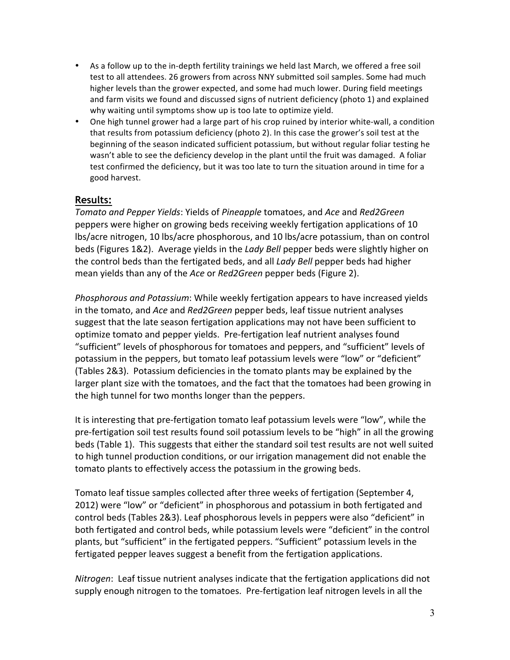- As a follow up to the in-depth fertility trainings we held last March, we offered a free soil test to all attendees. 26 growers from across NNY submitted soil samples. Some had much higher levels than the grower expected, and some had much lower. During field meetings and farm visits we found and discussed signs of nutrient deficiency (photo 1) and explained why waiting until symptoms show up is too late to optimize yield.
- One high tunnel grower had a large part of his crop ruined by interior white-wall, a condition that results from potassium deficiency (photo 2). In this case the grower's soil test at the beginning of the season indicated sufficient potassium, but without regular foliar testing he wasn't able to see the deficiency develop in the plant until the fruit was damaged. A foliar test confirmed the deficiency, but it was too late to turn the situation around in time for a good'harvest.

#### **Results:**

*Tomato(and(Pepper(Yields*: Yields'of'*Pineapple*'tomatoes,'and'*Ace*'and'*Red2Green* peppers were higher on growing beds receiving weekly fertigation applications of 10 lbs/acre nitrogen, 10 lbs/acre phosphorous, and 10 lbs/acre potassium, than on control beds (Figures 1&2). Average yields in the *Lady Bell* pepper beds were slightly higher on the control beds than the fertigated beds, and all *Lady Bell* pepper beds had higher mean yields than any of the *Ace* or *Red2Green* pepper beds (Figure 2).

Phosphorous and Potassium: While weekly fertigation appears to have increased yields in the tomato, and *Ace* and *Red2Green* pepper beds, leaf tissue nutrient analyses suggest that the late season fertigation applications may not have been sufficient to optimize tomato and pepper yields. Pre-fertigation leaf nutrient analyses found "sufficient" levels of phosphorous for tomatoes and peppers, and "sufficient" levels of potassium in the peppers, but tomato leaf potassium levels were "low" or "deficient" (Tables 2&3). Potassium deficiencies in the tomato plants may be explained by the larger plant size with the tomatoes, and the fact that the tomatoes had been growing in the high tunnel for two months longer than the peppers.

It is interesting that pre-fertigation tomato leaf potassium levels were "low", while the pre-fertigation soil test results found soil potassium levels to be "high" in all the growing beds (Table 1). This suggests that either the standard soil test results are not well suited to high tunnel production conditions, or our irrigation management did not enable the tomato plants to effectively access the potassium in the growing beds.

Tomato leaf tissue samples collected after three weeks of fertigation (September 4, 2012) were "low" or "deficient" in phosphorous and potassium in both fertigated and control beds (Tables 2&3). Leaf phosphorous levels in peppers were also "deficient" in both fertigated and control beds, while potassium levels were "deficient" in the control plants, but "sufficient" in the fertigated peppers. "Sufficient" potassium levels in the fertigated pepper leaves suggest a benefit from the fertigation applications.

*Nitrogen*: Leaf tissue nutrient analyses indicate that the fertigation applications did not supply enough nitrogen to the tomatoes. Pre-fertigation leaf nitrogen levels in all the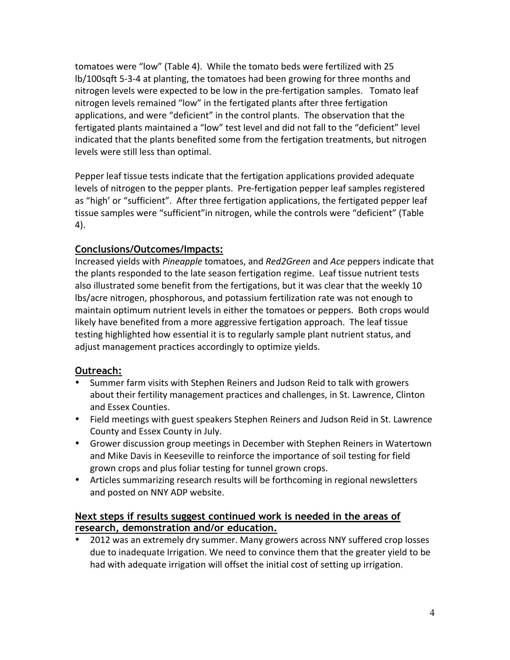tomatoes were "low" (Table 4). While the tomato beds were fertilized with 25 lb/100sqft 5-3-4 at planting, the tomatoes had been growing for three months and nitrogen levels were expected to be low in the pre-fertigation samples. Tomato leaf nitrogen levels remained "low" in the fertigated plants after three fertigation applications, and were "deficient" in the control plants. The observation that the fertigated plants maintained a "low" test level and did not fall to the "deficient" level indicated that the plants benefited some from the fertigation treatments, but nitrogen levels were still less than optimal.

Pepper leaf tissue tests indicate that the fertigation applications provided adequate levels of nitrogen to the pepper plants. Pre-fertigation pepper leaf samples registered as "high' or "sufficient". After three fertigation applications, the fertigated pepper leaf tissue samples were "sufficient"in nitrogen, while the controls were "deficient" (Table  $4$ ).

# **Conclusions/Outcomes/Impacts:**

Increased yields with *Pineapple* tomatoes, and *Red2Green* and *Ace* peppers indicate that the plants responded to the late season fertigation regime. Leaf tissue nutrient tests also illustrated some benefit from the fertigations, but it was clear that the weekly 10 lbs/acre nitrogen, phosphorous, and potassium fertilization rate was not enough to maintain optimum nutrient levels in either the tomatoes or peppers. Both crops would likely have benefited from a more aggressive fertigation approach. The leaf tissue testing highlighted how essential it is to regularly sample plant nutrient status, and adjust management practices accordingly to optimize yields.

# **Outreach:**

- Summer farm visits with Stephen Reiners and Judson Reid to talk with growers about their fertility management practices and challenges, in St. Lawrence, Clinton and Essex Counties.
- Field meetings with guest speakers Stephen Reiners and Judson Reid in St. Lawrence County and Essex County in July.
- Grower discussion group meetings in December with Stephen Reiners in Watertown and Mike Davis in Keeseville to reinforce the importance of soil testing for field grown crops and plus foliar testing for tunnel grown crops.
- Articles summarizing research results will be forthcoming in regional newsletters and posted on NNY ADP website.

### **Next steps if results suggest continued work is needed in the areas of research, demonstration and/or education.**

2012'was an extremely dry summer. Many growers across NNY suffered crop losses due to inadequate Irrigation. We need to convince them that the greater yield to be had with adequate irrigation will offset the initial cost of setting up irrigation.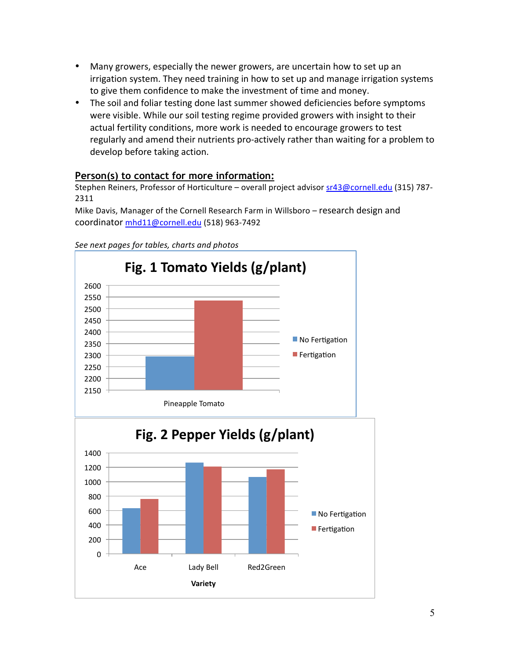- Many growers, especially the newer growers, are uncertain how to set up an irrigation system. They need training in how to set up and manage irrigation systems to give them confidence to make the investment of time and money.
- The soil and foliar testing done last summer showed deficiencies before symptoms were visible. While our soil testing regime provided growers with insight to their actual fertility conditions, more work is needed to encourage growers to test regularly and amend their nutrients pro-actively rather than waiting for a problem to develop before taking action.

# **Person(s) to contact for more information:**

Stephen Reiners, Professor of Horticulture – overall project advisor sr43@cornell.edu (315) 787-2311

Mike Davis, Manager of the Cornell Research Farm in Willsboro – research design and coordinator mhd11@cornell.edu (518) 963-7492



See next pages for tables, charts and photos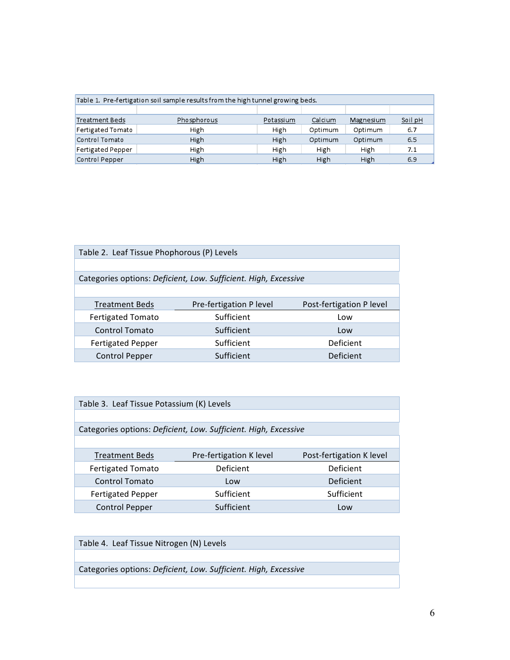| Table 1. Pre-fertigation soil sample results from the high tunnel growing beds. |             |           |         |           |         |  |  |
|---------------------------------------------------------------------------------|-------------|-----------|---------|-----------|---------|--|--|
|                                                                                 |             |           |         |           |         |  |  |
| Treatment Beds                                                                  | Phosphorous | Potassium | Calcium | Magnesium | Soil pH |  |  |
| Fertigated Tomato                                                               | High        | High      | Optimum | Optimum   | 6.7     |  |  |
| Control Tomato                                                                  | High        | High      | Optimum | Optimum   | 6.5     |  |  |
| Fertigated Pepper                                                               | High        | High      | High    | High      | 7.1     |  |  |
| Control Pepper                                                                  | High        | High      | High    | High      | 6.9     |  |  |

| Table 2. Leaf Tissue Phophorous (P) Levels                      |                         |                          |  |  |  |
|-----------------------------------------------------------------|-------------------------|--------------------------|--|--|--|
|                                                                 |                         |                          |  |  |  |
| Categories options: Deficient, Low. Sufficient. High, Excessive |                         |                          |  |  |  |
|                                                                 |                         |                          |  |  |  |
| <b>Treatment Beds</b>                                           | Pre-fertigation P level | Post-fertigation P level |  |  |  |
| <b>Fertigated Tomato</b>                                        | Sufficient              | Low                      |  |  |  |
| <b>Control Tomato</b>                                           | Sufficient              | Low                      |  |  |  |
| <b>Fertigated Pepper</b>                                        | Sufficient              | <b>Deficient</b>         |  |  |  |
| <b>Control Pepper</b>                                           | Sufficient              | <b>Deficient</b>         |  |  |  |

| Table 3. Leaf Tissue Potassium (K) Levels                       |                         |                          |  |  |  |
|-----------------------------------------------------------------|-------------------------|--------------------------|--|--|--|
|                                                                 |                         |                          |  |  |  |
| Categories options: Deficient, Low. Sufficient. High, Excessive |                         |                          |  |  |  |
|                                                                 |                         |                          |  |  |  |
| <b>Treatment Beds</b>                                           | Pre-fertigation K level | Post-fertigation K level |  |  |  |
| <b>Fertigated Tomato</b>                                        | Deficient               | Deficient                |  |  |  |
| <b>Control Tomato</b>                                           | Low                     | <b>Deficient</b>         |  |  |  |
| <b>Fertigated Pepper</b>                                        | Sufficient              | Sufficient               |  |  |  |
| <b>Control Pepper</b>                                           | Sufficient              | Low                      |  |  |  |

Table 4. Leaf Tissue Nitrogen (N) Levels Categories options: Deficient, Low. Sufficient. High, Excessive